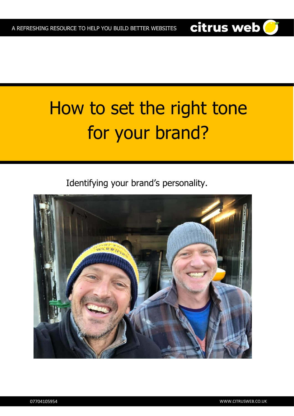# How to set the right tone for your brand?

Identifying your brand's personality.



citrus web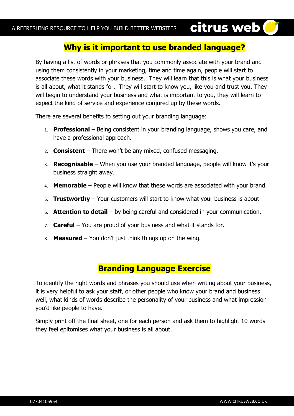#### **Why is it important to use branded language?**

citrus web<sup>1</sup>

By having a list of words or phrases that you commonly associate with your brand and using them consistently in your marketing, time and time again, people will start to associate these words with your business. They will learn that this is what your business is all about, what it stands for. They will start to know you, like you and trust you. They will begin to understand your business and what is important to you, they will learn to expect the kind of service and experience conjured up by these words.

There are several benefits to setting out your branding language:

- 1. **Professional**  Being consistent in your branding language, shows you care, and have a professional approach.
- 2. **Consistent**  There won't be any mixed, confused messaging.
- 3. **Recognisable** When you use your branded language, people will know it's your business straight away.
- 4. **Memorable** People will know that these words are associated with your brand.
- 5. **Trustworthy** Your customers will start to know what your business is about
- 6. **Attention to detail** by being careful and considered in your communication.
- 7. **Careful** You are proud of your business and what it stands for.
- 8. **Measured** You don't just think things up on the wing.

#### **Branding Language Exercise**

To identify the right words and phrases you should use when writing about your business, it is very helpful to ask your staff, or other people who know your brand and business well, what kinds of words describe the personality of your business and what impression you'd like people to have.

Simply print off the final sheet, one for each person and ask them to highlight 10 words they feel epitomises what your business is all about.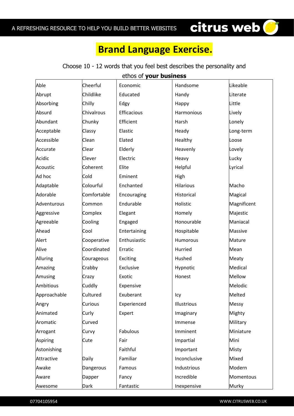### **Brand Language Exercise.**

citrus web<sup>O</sup>

| ethos of your business |             |              |              |               |  |  |  |
|------------------------|-------------|--------------|--------------|---------------|--|--|--|
| Able                   | Cheerful    | Economic     | Handsome     | Likeable      |  |  |  |
| Abrupt                 | Childlike   | Educated     | Handy        | Literate      |  |  |  |
| Absorbing              | Chilly      | Edgy         | Happy        | Little        |  |  |  |
| Absurd                 | Chivalrous  | Efficacious  | Harmonious   | Lively        |  |  |  |
| Abundant               | Chunky      | Efficient    | Harsh        | Lonely        |  |  |  |
| Acceptable             | Classy      | Elastic      | Heady        | Long-term     |  |  |  |
| Accessible             | Clean       | Elated       | Healthy      | Loose         |  |  |  |
| Accurate               | Clear       | Elderly      | Heavenly     | Lovely        |  |  |  |
| Acidic                 | Clever      | Electric     | Heavy        | Lucky         |  |  |  |
| Acoustic               | Coherent    | Elite        | Helpful      | Lyrical       |  |  |  |
| Ad hoc                 | Cold        | Eminent      | High         |               |  |  |  |
| Adaptable              | Colourful   | Enchanted    | Hilarious    | Macho         |  |  |  |
| Adorable               | Comfortable | Encouraging  | Historical   | Magical       |  |  |  |
| Adventurous            | Common      | Endurable    | Holistic     | Magnificent   |  |  |  |
| Aggressive             | Complex     | Elegant      | Homely       | Majestic      |  |  |  |
| Agreeable              | Cooling     | Engaged      | Honourable   | Maniacal      |  |  |  |
| Ahead                  | Cool        | Entertaining | Hospitable   | Massive       |  |  |  |
| Alert                  | Cooperative | Enthusiastic | Humorous     | Mature        |  |  |  |
| Alive                  | Coordinated | Erratic      | Hurried      | Mean          |  |  |  |
| <b>Alluring</b>        | Courageous  | Exciting     | Hushed       | Meaty         |  |  |  |
| Amazing                | Crabby      | Exclusive    | Hypnotic     | Medical       |  |  |  |
| Amusing                | Crazy       | Exotic       | Honest       | <b>Mellow</b> |  |  |  |
| <b>Ambitious</b>       | Cuddly      | Expensive    |              | Melodic       |  |  |  |
| Approachable           | Cultured    | Exuberant    | Icy          | Melted        |  |  |  |
| Angry                  | Curious     | Experienced  | Illustrious  | Messy         |  |  |  |
| Animated               | Curly       | Expert       | Imaginary    | Mighty        |  |  |  |
| Aromatic               | Curved      |              | Immense      | Military      |  |  |  |
| Arrogant               | Curvy       | Fabulous     | Imminent     | Miniature     |  |  |  |
| Aspiring               | Cute        | Fair         | Impartial    | Mini          |  |  |  |
| Astonishing            |             | Faithful     | Important    | Misty         |  |  |  |
| Attractive             | Daily       | Familiar     | Inconclusive | Mixed         |  |  |  |
| Awake                  | Dangerous   | Famous       | Industrious  | Modern        |  |  |  |
| Aware                  | Dapper      | Fancy        | Incredible   | Momentous     |  |  |  |
| Awesome                | Dark        | Fantastic    | Inexpensive  | Murky         |  |  |  |

#### Choose 10 - 12 words that you feel best describes the personality and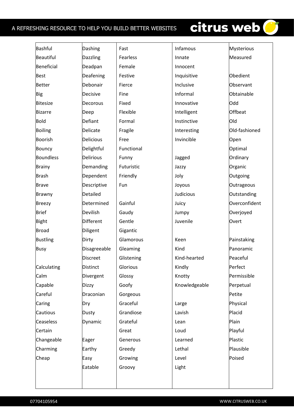#### A REFRESHING RESOURCE TO HELP YOU BUILD BETTER WEBSITES

## citrus web

| Bashful          | Dashing          | Fast       | Infamous      | <b>Mysterious</b> |
|------------------|------------------|------------|---------------|-------------------|
| Beautiful        | Dazzling         | Fearless   | Innate        | Measured          |
| Beneficial       | Deadpan          | Female     | Innocent      |                   |
| <b>Best</b>      | Deafening        | Festive    | Inquisitive   | Obedient          |
| <b>Better</b>    | Debonair         | Fierce     | Inclusive     | Observant         |
| <b>Big</b>       | Decisive         | Fine       | Informal      | Obtainable        |
| Bitesize         | Decorous         | Fixed      | Innovative    | Odd               |
| Bizarre          | Deep             | Flexible   | Intelligent   | Offbeat           |
| <b>Bold</b>      | Defiant          | Formal     | Instinctive   | Old               |
| Boiling          | Delicate         | Fragile    | Interesting   | Old-fashioned     |
| Boorish          | Delicious        | Free       | Invincible    | Open              |
| <b>Bouncy</b>    | Delightful       | Functional |               | Optimal           |
| <b>Boundless</b> | <b>Delirious</b> | Funny      | Jagged        | Ordinary          |
| <b>Brainy</b>    | Demanding        | Futuristic | Jazzy         | Organic           |
| <b>Brash</b>     | Dependent        | Friendly   | Joly          | Outgoing          |
| <b>Brave</b>     | Descriptive      | Fun        | Joyous        | Outrageous        |
| <b>Brawny</b>    | Detailed         |            | Judicious     | Outstanding       |
| <b>Breezy</b>    | Determined       | Gainful    | Juicy         | Overconfident     |
| <b>Brief</b>     | Devilish         | Gaudy      | Jumpy         | Overjoyed         |
| <b>Bight</b>     | Different        | Gentle     | Juvenile      | Overt             |
| <b>Broad</b>     | Diligent         | Gigantic   |               |                   |
| <b>Bustling</b>  | Dirty            | Glamorous  | Keen          | Painstaking       |
| <b>Busy</b>      | Disagreeable     | Gleaming   | Kind          | Panoramic         |
|                  | <b>Discreet</b>  | Glistening | Kind-hearted  | Peaceful          |
| Calculating      | Distinct         | Glorious   | Kindly        | Perfect           |
| Calm             | Divergent        | Glossy     | Knotty        | Permissible       |
| Capable          | <b>Dizzy</b>     | Goofy      | Knowledgeable | Perpetual         |
| Careful          | Draconian        | Gorgeous   |               | Petite            |
| Caring           | Dry              | Graceful   | Large         | Physical          |
| Cautious         | <b>Dusty</b>     | Grandiose  | Lavish        | Placid            |
| Ceaseless        | Dynamic          | Grateful   | Lean          | Plain             |
| Certain          |                  | Great      | Loud          | Playful           |
| Changeable       | Eager            | Generous   | Learned       | Plastic           |
| Charming         | Earthy           | Greedy     | Lethal        | Plausible         |
| Cheap            | Easy             | Growing    | Level         | Poised            |
|                  | Eatable          | Groovy     | Light         |                   |
|                  |                  |            |               |                   |
|                  |                  |            |               |                   |